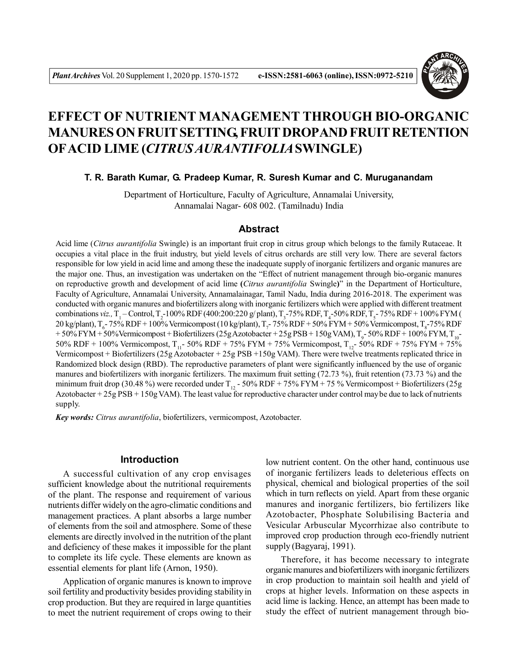

# **EFFECT OF NUTRIENT MANAGEMENT THROUGH BIO-ORGANIC MANURES ON FRUIT SETTING, FRUIT DROPAND FRUIT RETENTION OFACID LIME (***CITRUS AURANTIFOLIA***SWINGLE)**

#### **T. R. Barath Kumar, G. Pradeep Kumar, R. Suresh Kumar and C. Muruganandam**

Department of Horticulture, Faculty of Agriculture, Annamalai University, Annamalai Nagar- 608 002. (Tamilnadu) India

#### **Abstract**

Acid lime (*Citrus aurantifolia* Swingle) is an important fruit crop in citrus group which belongs to the family Rutaceae. It occupies a vital place in the fruit industry, but yield levels of citrus orchards are still very low. There are several factors responsible for low yield in acid lime and among these the inadequate supply of inorganic fertilizers and organic manures are the major one. Thus, an investigation was undertaken on the "Effect of nutrient management through bio-organic manures on reproductive growth and development of acid lime **(***Citrus aurantifolia* Swingle**)**" in the Department of Horticulture, Faculty of Agriculture, Annamalai University, Annamalainagar, Tamil Nadu, India during 2016-2018. The experiment was conducted with organic manures and biofertilizers along with inorganic fertilizers which were applied with different treatment combinations *viz.*, T<sub>1</sub> – Control, T<sub>2</sub>-100% RDF (400:200:220 g/ plant), T<sub>3</sub>-75% RDF, T<sub>4</sub>-50% RDF, T<sub>5</sub>-75% RDF + 100% FYM (  $20$  kg/plant), T<sub>6</sub>-75% RDF + 100% Vermicompost (10 kg/plant), T<sub>7</sub>-75% RDF + 50% FYM + 50% Vermicompost, T<sub>8</sub>-75% RDF  $+50\%$  FYM + 50%Vermicompost + Biofertilizers (25g Azotobacter + 25g PSB + 150g VAM), T<sub>9</sub>-50% RDF + 100% FYM, T<sub>10</sub>-50% RDF + 100% Vermicompost, T<sub>11</sub>- 50% RDF + 75% FYM + 75% Vermicompost, T<sub>12</sub>- 50% RDF + 75% FYM + 75% Vermicompost + Biofertilizers (25g Azotobacter + 25g PSB +150g VAM). There were twelve treatments replicated thrice in Randomized block design (RBD). The reproductive parameters of plant were significantly influenced by the use of organic manures and biofertilizers with inorganic fertilizers. The maximum fruit setting (72.73 %), fruit retention (73.73 %) and the minimum fruit drop (30.48 %) were recorded under  $T_{12}$  - 50% RDF + 75% FYM + 75 % Vermicompost + Biofertilizers (25g) Azotobacter + 25g PSB + 150g VAM). The least value for reproductive character under control may be due to lack of nutrients supply.

*Key words: Citrus aurantifolia*, biofertilizers, vermicompost, Azotobacter.

### **Introduction**

A successful cultivation of any crop envisages sufficient knowledge about the nutritional requirements of the plant. The response and requirement of various nutrients differ widely on the agro-climatic conditions and management practices. A plant absorbs a large number of elements from the soil and atmosphere. Some of these elements are directly involved in the nutrition of the plant and deficiency of these makes it impossible for the plant to complete its life cycle. These elements are known as essential elements for plant life (Arnon, 1950).

Application of organic manures is known to improve soil fertility and productivity besides providing stability in crop production. But they are required in large quantities to meet the nutrient requirement of crops owing to their low nutrient content. On the other hand, continuous use of inorganic fertilizers leads to deleterious effects on physical, chemical and biological properties of the soil which in turn reflects on yield. Apart from these organic manures and inorganic fertilizers, bio fertilizers like Azotobacter, Phosphate Solubilising Bacteria and Vesicular Arbuscular Mycorrhizae also contribute to improved crop production through eco-friendly nutrient supply (Bagyaraj, 1991).

Therefore, it has become necessary to integrate organic manures and biofertilizers with inorganic fertilizers in crop production to maintain soil health and yield of crops at higher levels. Information on these aspects in acid lime is lacking. Hence, an attempt has been made to study the effect of nutrient management through bio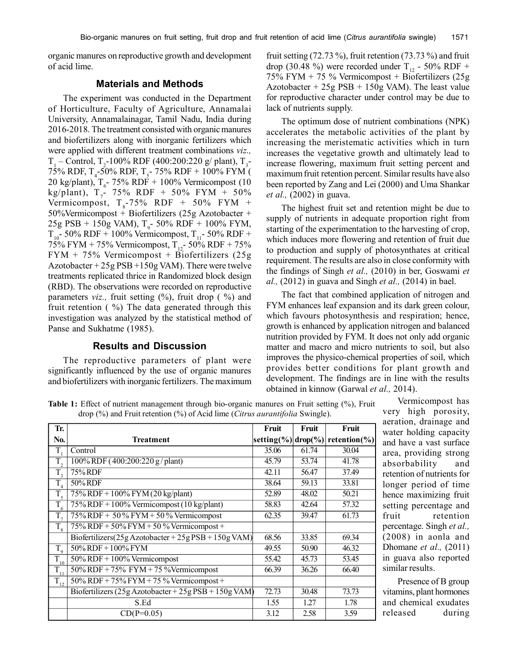organic manures on reproductive growth and development of acid lime.

#### **Materials and Methods**

The experiment was conducted in the Department of Horticulture, Faculty of Agriculture, Annamalai University, Annamalainagar, Tamil Nadu, India during 2016-2018. The treatment consisted with organic manures and biofertilizers along with inorganic fertilizers which were applied with different treatment combinations *viz.,*  $T_1$  – Control,  $T_2$ -100% RDF (400:200:220 g/ plant),  $T_3$ -75% RDF, T<sub>4</sub>-50% RDF, T<sub>5</sub>-75% RDF + 100% FYM ( 20 kg/plant),  $T_c$ - 75% RDF + 100% Vermicompost (10 kg/plant),  $T_7$ - 75% RDF + 50% FYM + 50% Vermicompost,  $T_s$ -75% RDF + 50% FYM +  $50\%$ Vermicompost + Biofertilizers (25g Azotobacter +  $25g$  PSB + 150g VAM),  $T_{9}$ - 50% RDF + 100% FYM,  $T_{10}$ - 50% RDF + 100% Vermicompost,  $T_{11}$ - 50% RDF + 75% FYM + 75% Vermicompost,  $T_{12}$ - 50% RDF + 75% FYM + 75% Vermicompost + Biofertilizers (25g Azotobacter  $+25g$  PSB  $+150g$  VAM). There were twelve treatments replicated thrice in Randomized block design (RBD). The observations were recorded on reproductive parameters *viz.*, fruit setting (%), fruit drop (%) and fruit retention  $( %)$  The data generated through this investigation was analyzed by the statistical method of Panse and Sukhatme (1985).

## **Results and Discussion**

The reproductive parameters of plant were significantly influenced by the use of organic manures and biofertilizers with inorganic fertilizers. The maximum

fruit setting  $(72.73\%)$ , fruit retention  $(73.73\%)$  and fruit drop (30.48 %) were recorded under T<sub>12</sub> - 50% RDF + 75% FYM + 75 % Vermicompost + Biofertilizers (25g Azotobacter  $+ 25g$  PSB  $+ 150g$  VAM). The least value for reproductive character under control may be due to lack of nutrients supply.

The optimum dose of nutrient combinations (NPK) accelerates the metabolic activities of the plant by increasing the meristematic activities which in turn increases the vegetative growth and ultimately lead to increase flowering, maximum fruit setting percent and maximum fruit retention percent. Similar results have also been reported by Zang and Lei (2000) and Uma Shankar *et al.,* (2002) in guava.

The highest fruit set and retention might be due to supply of nutrients in adequate proportion right from starting of the experimentation to the harvesting of crop, which induces more flowering and retention of fruit due to production and supply of photosynthates at critical requirement. The results are also in close conformity with the findings of Singh *et al.,* (2010) in ber, Goswami *et al.,* (2012) in guava and Singh *et al.,* (2014) in bael.

The fact that combined application of nitrogen and FYM enhances leaf expansion and its dark green colour, which favours photosynthesis and respiration; hence, growth is enhanced by application nitrogen and balanced nutrition provided by FYM. It does not only add organic matter and macro and micro nutrients to soil, but also improves the physico-chemical properties of soil, which provides better conditions for plant growth and development. The findings are in line with the results obtained in kinnow (Garwal *et al.,* 2014).

**Table 1:** Effect of nutrient management through bio-organic manures on Fruit setting (%), Fruit drop (%) and Fruit retention (%) of Acid lime (*Citrus aurantifolia* Swingle).

| Tr.                                 |                                                                                 | Fruit                   | Fruit | Fruit        |
|-------------------------------------|---------------------------------------------------------------------------------|-------------------------|-------|--------------|
| No.                                 | Treatment                                                                       | setting(%) $ drop(\%) $ |       | retention(%) |
| $T_{1}$                             | Control                                                                         | 35.06                   | 61.74 | 30.04        |
| T,                                  | 100% RDF (400:200:220 g/plant)                                                  | 45.79                   | 53.74 | 41.78        |
| $\overline{T}_3$                    | 75% RDF                                                                         | 42.11                   | 56.47 | 37.49        |
| $\overline{T}_4$                    | 50% RDF                                                                         | 38.64                   | 59.13 | 33.81        |
| $\overline{T_5}$                    | $75\%$ RDF + 100% FYM (20 kg/plant)                                             | 52.89                   | 48.02 | 50.21        |
| $\overline{T_{6}}$                  | $75\%$ RDF + 100% Vermicompost (10 kg/plant)                                    | 58.83                   | 42.64 | 57.32        |
| $\overline{T}$ ,                    | $75\%$ RDF + 50 % FYM + 50 % Vermicompost                                       | 62.35                   | 39.47 | 61.73        |
| $T_{\rm g}$                         | $75\%$ RDF + 50% FYM + 50 % Vermicompost +                                      |                         |       |              |
|                                     | Biofertilizers $(25g \text{ Azotobacter} + 25g \text{ PSB} + 150g \text{ VAN})$ | 68.56                   | 33.85 | 69.34        |
| $T_{\rm o}$                         | $50\%$ RDF + $100\%$ FYM                                                        | 49.55                   | 50.90 | 46.32        |
| $\overline{T}_{10}$                 | $50\%$ RDF + $100\%$ Vermicompost                                               | 55.42                   | 45.73 | 53.45        |
| $\overline{T}_{\!\perp\!\!\!\perp}$ | $50\%$ RDF + 75% FYM + 75 %Vermicompost                                         | 66.39                   | 36.26 | 66.40        |
| $\overline{T}_{12}$                 | $50\%$ RDF + $75\%$ FYM + $75\%$ Vermicompost +                                 |                         |       |              |
|                                     | Biofertilizers $(25g \text{ Azotobacter} + 25g \text{ PSB} + 150g \text{ VAN})$ | 72.73                   | 30.48 | 73.73        |
|                                     | S.Ed                                                                            | 1.55                    | 1.27  | 1.78         |
|                                     | $CD(P=0.05)$                                                                    | 3.12                    | 2.58  | 3.59         |

Vermicompost has very high porosity, aeration, drainage and water holding capacity and have a vast surface area, providing strong absorbability and retention of nutrients for longer period of time hence maximizing fruit setting percentage and fruit retention percentage. Singh *et al.,* (2008) in aonla and Dhomane *et al.,* (2011) in guava also reported similar results.

Presence of B group vitamins, plant hormones and chemical exudates released during